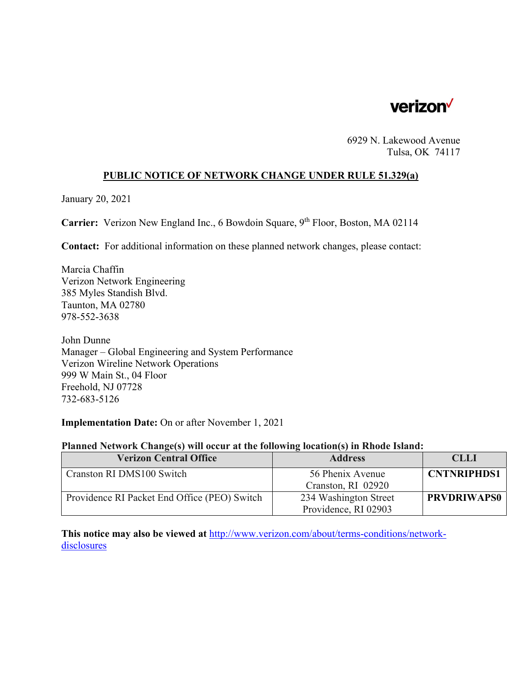

6929 N. Lakewood Avenue Tulsa, OK 74117

# **PUBLIC NOTICE OF NETWORK CHANGE UNDER RULE 51.329(a)**

January 20, 2021

**Carrier:** Verizon New England Inc., 6 Bowdoin Square, 9<sup>th</sup> Floor, Boston, MA 02114

**Contact:** For additional information on these planned network changes, please contact:

Marcia Chaffin Verizon Network Engineering 385 Myles Standish Blvd. Taunton, MA 02780 978-552-3638

John Dunne Manager – Global Engineering and System Performance Verizon Wireline Network Operations 999 W Main St., 04 Floor Freehold, NJ 07728 732-683-5126

## **Implementation Date:** On or after November 1, 2021

#### **Planned Network Change(s) will occur at the following location(s) in Rhode Island:**

| <b>Verizon Central Office</b>                | <b>Address</b>        | <b>CLLI</b>        |
|----------------------------------------------|-----------------------|--------------------|
| Cranston RI DMS100 Switch                    | 56 Phenix Avenue      | <b>CNTNRIPHDS1</b> |
|                                              | Cranston, RI 02920    |                    |
| Providence RI Packet End Office (PEO) Switch | 234 Washington Street | <b>PRVDRIWAPS0</b> |
|                                              | Providence, RI 02903  |                    |

**This notice may also be viewed at** http://www.verizon.com/about/terms-conditions/networkdisclosures